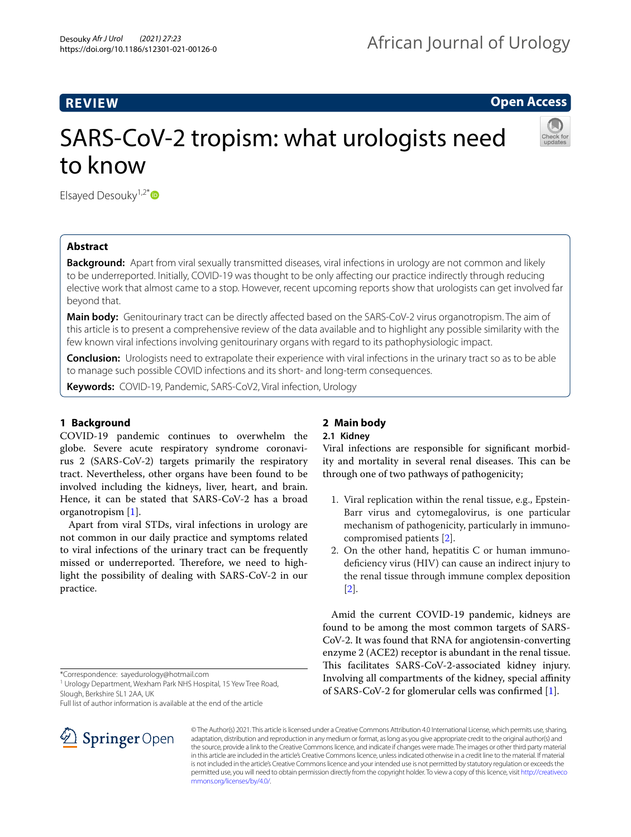# **REVIEW**

**Open Access**

# SARS-CoV-2 tropism: what urologists need to know



Elsaved Desouky $1.2^{*}$  $1.2^{*}$  $1.2^{*}$  D

# **Abstract**

**Background:** Apart from viral sexually transmitted diseases, viral infections in urology are not common and likely to be underreported. Initially, COVID-19 was thought to be only afecting our practice indirectly through reducing elective work that almost came to a stop. However, recent upcoming reports show that urologists can get involved far beyond that.

**Main body:** Genitourinary tract can be directly afected based on the SARS-CoV-2 virus organotropism. The aim of this article is to present a comprehensive review of the data available and to highlight any possible similarity with the few known viral infections involving genitourinary organs with regard to its pathophysiologic impact.

**Conclusion:** Urologists need to extrapolate their experience with viral infections in the urinary tract so as to be able to manage such possible COVID infections and its short- and long-term consequences.

**Keywords:** COVID-19, Pandemic, SARS-CoV2, Viral infection, Urology

# **1 Background**

COVID-19 pandemic continues to overwhelm the globe. Severe acute respiratory syndrome coronavirus 2 (SARS-CoV-2) targets primarily the respiratory tract. Nevertheless, other organs have been found to be involved including the kidneys, liver, heart, and brain. Hence, it can be stated that SARS-CoV-2 has a broad organotropism [[1\]](#page-3-0).

Apart from viral STDs, viral infections in urology are not common in our daily practice and symptoms related to viral infections of the urinary tract can be frequently missed or underreported. Therefore, we need to highlight the possibility of dealing with SARS-CoV-2 in our practice.

\*Correspondence: sayedurology@hotmail.com

<sup>1</sup> Urology Department, Wexham Park NHS Hospital, 15 Yew Tree Road, Slough, Berkshire SL1 2AA, UK

Full list of author information is available at the end of the article



# **2 Main body**

# **2.1 Kidney**

Viral infections are responsible for signifcant morbidity and mortality in several renal diseases. This can be through one of two pathways of pathogenicity;

- 1. Viral replication within the renal tissue, e.g., Epstein-Barr virus and cytomegalovirus, is one particular mechanism of pathogenicity, particularly in immunocompromised patients [[2\]](#page-3-1).
- 2. On the other hand, hepatitis C or human immunodefciency virus (HIV) can cause an indirect injury to the renal tissue through immune complex deposition [[2\]](#page-3-1).

Amid the current COVID-19 pandemic, kidneys are found to be among the most common targets of SARS-CoV-2. It was found that RNA for angiotensin-converting enzyme 2 (ACE2) receptor is abundant in the renal tissue. This facilitates SARS-CoV-2-associated kidney injury. Involving all compartments of the kidney, special afnity of SARS-CoV-2 for glomerular cells was confrmed [[1\]](#page-3-0).

© The Author(s) 2021. This article is licensed under a Creative Commons Attribution 4.0 International License, which permits use, sharing, adaptation, distribution and reproduction in any medium or format, as long as you give appropriate credit to the original author(s) and the source, provide a link to the Creative Commons licence, and indicate if changes were made. The images or other third party material in this article are included in the article's Creative Commons licence, unless indicated otherwise in a credit line to the material. If material is not included in the article's Creative Commons licence and your intended use is not permitted by statutory regulation or exceeds the permitted use, you will need to obtain permission directly from the copyright holder. To view a copy of this licence, visit [http://creativeco](http://creativecommons.org/licenses/by/4.0/) [mmons.org/licenses/by/4.0/.](http://creativecommons.org/licenses/by/4.0/)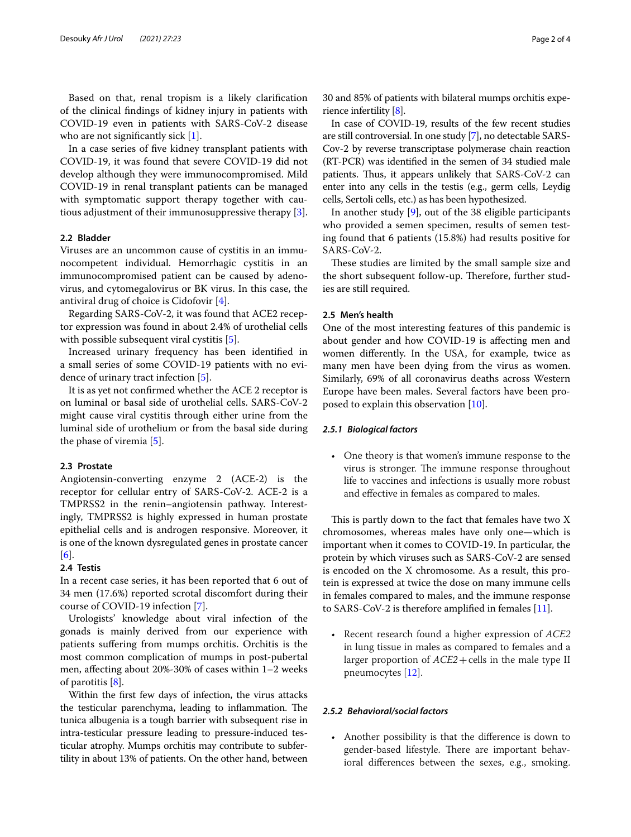Based on that, renal tropism is a likely clarifcation of the clinical fndings of kidney injury in patients with COVID-19 even in patients with SARS-CoV-2 disease who are not significantly sick [\[1](#page-3-0)].

In a case series of fve kidney transplant patients with COVID-19, it was found that severe COVID-19 did not develop although they were immunocompromised. Mild COVID-19 in renal transplant patients can be managed with symptomatic support therapy together with cautious adjustment of their immunosuppressive therapy [\[3](#page-3-2)].

# **2.2 Bladder**

Viruses are an uncommon cause of cystitis in an immunocompetent individual. Hemorrhagic cystitis in an immunocompromised patient can be caused by adenovirus, and cytomegalovirus or BK virus. In this case, the antiviral drug of choice is Cidofovir [\[4](#page-3-3)].

Regarding SARS-CoV-2, it was found that ACE2 receptor expression was found in about 2.4% of urothelial cells with possible subsequent viral cystitis [[5\]](#page-3-4).

Increased urinary frequency has been identifed in a small series of some COVID-19 patients with no evidence of urinary tract infection [\[5](#page-3-4)].

It is as yet not confrmed whether the ACE 2 receptor is on luminal or basal side of urothelial cells. SARS-CoV-2 might cause viral cystitis through either urine from the luminal side of urothelium or from the basal side during the phase of viremia [[5](#page-3-4)].

### **2.3 Prostate**

Angiotensin-converting enzyme 2 (ACE-2) is the receptor for cellular entry of SARS-CoV-2. ACE-2 is a TMPRSS2 in the renin–angiotensin pathway. Interestingly, TMPRSS2 is highly expressed in human prostate epithelial cells and is androgen responsive. Moreover, it is one of the known dysregulated genes in prostate cancer [[6\]](#page-3-5).

## **2.4 Testis**

In a recent case series, it has been reported that 6 out of 34 men (17.6%) reported scrotal discomfort during their course of COVID-19 infection [[7\]](#page-3-6).

Urologists' knowledge about viral infection of the gonads is mainly derived from our experience with patients sufering from mumps orchitis. Orchitis is the most common complication of mumps in post-pubertal men, afecting about 20%-30% of cases within 1–2 weeks of parotitis [[8\]](#page-3-7).

Within the frst few days of infection, the virus attacks the testicular parenchyma, leading to inflammation. The tunica albugenia is a tough barrier with subsequent rise in intra-testicular pressure leading to pressure-induced testicular atrophy. Mumps orchitis may contribute to subfertility in about 13% of patients. On the other hand, between 30 and 85% of patients with bilateral mumps orchitis experience infertility [\[8\]](#page-3-7).

In case of COVID-19, results of the few recent studies are still controversial. In one study [[7\]](#page-3-6), no detectable SARS-Cov-2 by reverse transcriptase polymerase chain reaction (RT-PCR) was identifed in the semen of 34 studied male patients. Thus, it appears unlikely that SARS-CoV-2 can enter into any cells in the testis (e.g., germ cells, Leydig cells, Sertoli cells, etc.) as has been hypothesized.

In another study [[9](#page-3-8)], out of the 38 eligible participants who provided a semen specimen, results of semen testing found that 6 patients (15.8%) had results positive for SARS-CoV-2.

These studies are limited by the small sample size and the short subsequent follow-up. Therefore, further studies are still required.

# **2.5 Men's health**

One of the most interesting features of this pandemic is about gender and how COVID-19 is afecting men and women diferently. In the USA, for example, twice as many men have been dying from the virus as women. Similarly, 69% of all coronavirus deaths across Western Europe have been males. Several factors have been proposed to explain this observation [[10\]](#page-3-9).

#### *2.5.1 Biological factors*

• One theory is that women's immune response to the virus is stronger. The immune response throughout life to vaccines and infections is usually more robust and efective in females as compared to males.

This is partly down to the fact that females have two  $X$ chromosomes, whereas males have only one—which is important when it comes to COVID-19. In particular, the protein by which viruses such as SARS-CoV-2 are sensed is encoded on the X chromosome. As a result, this protein is expressed at twice the dose on many immune cells in females compared to males, and the immune response to SARS-CoV-2 is therefore amplifed in females [[11\]](#page-3-10).

• Recent research found a higher expression of *ACE2* in lung tissue in males as compared to females and a larger proportion of *ACE2*+cells in the male type II pneumocytes [\[12\]](#page-3-11).

#### *2.5.2 Behavioral/social factors*

• Another possibility is that the diference is down to gender-based lifestyle. There are important behavioral diferences between the sexes, e.g., smoking.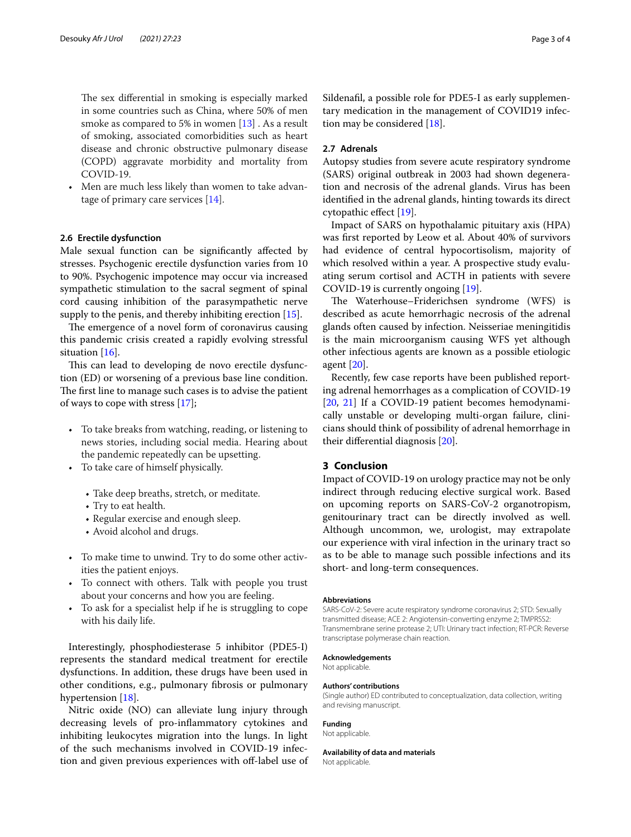The sex differential in smoking is especially marked in some countries such as China, where 50% of men smoke as compared to 5% in women [\[13\]](#page-3-12) . As a result of smoking, associated comorbidities such as heart disease and chronic obstructive pulmonary disease (COPD) aggravate morbidity and mortality from COVID-19.

Men are much less likely than women to take advantage of primary care services [[14\]](#page-3-13).

#### **2.6 Erectile dysfunction**

Male sexual function can be signifcantly afected by stresses. Psychogenic erectile dysfunction varies from 10 to 90%. Psychogenic impotence may occur via increased sympathetic stimulation to the sacral segment of spinal cord causing inhibition of the parasympathetic nerve supply to the penis, and thereby inhibiting erection [\[15](#page-3-14)].

The emergence of a novel form of coronavirus causing this pandemic crisis created a rapidly evolving stressful situation [\[16\]](#page-3-15).

This can lead to developing de novo erectile dysfunction (ED) or worsening of a previous base line condition. The first line to manage such cases is to advise the patient of ways to cope with stress [\[17](#page-3-16)];

- To take breaks from watching, reading, or listening to news stories, including social media. Hearing about the pandemic repeatedly can be upsetting.
- To take care of himself physically.
	- Take deep breaths, stretch, or meditate.
	- Try to eat health.
	- Regular exercise and enough sleep.
	- Avoid alcohol and drugs.
- To make time to unwind. Try to do some other activities the patient enjoys.
- To connect with others. Talk with people you trust about your concerns and how you are feeling.
- To ask for a specialist help if he is struggling to cope with his daily life.

Interestingly, phosphodiesterase 5 inhibitor (PDE5-I) represents the standard medical treatment for erectile dysfunctions. In addition, these drugs have been used in other conditions, e.g., pulmonary fbrosis or pulmonary hypertension [[18\]](#page-3-17).

Nitric oxide (NO) can alleviate lung injury through decreasing levels of pro-infammatory cytokines and inhibiting leukocytes migration into the lungs. In light of the such mechanisms involved in COVID-19 infection and given previous experiences with off-label use of Sildenafl, a possible role for PDE5-I as early supplementary medication in the management of COVID19 infection may be considered [\[18\]](#page-3-17).

#### **2.7 Adrenals**

Autopsy studies from severe acute respiratory syndrome (SARS) original outbreak in 2003 had shown degeneration and necrosis of the adrenal glands. Virus has been identifed in the adrenal glands, hinting towards its direct cytopathic efect [[19\]](#page-3-18).

Impact of SARS on hypothalamic pituitary axis (HPA) was frst reported by Leow et al. About 40% of survivors had evidence of central hypocortisolism, majority of which resolved within a year. A prospective study evaluating serum cortisol and ACTH in patients with severe COVID-19 is currently ongoing [[19](#page-3-18)].

The Waterhouse–Friderichsen syndrome (WFS) is described as acute hemorrhagic necrosis of the adrenal glands often caused by infection. Neisseriae meningitidis is the main microorganism causing WFS yet although other infectious agents are known as a possible etiologic agent [\[20](#page-3-19)].

Recently, few case reports have been published reporting adrenal hemorrhages as a complication of COVID-19 [[20,](#page-3-19) [21\]](#page-3-20) If a COVID-19 patient becomes hemodynamically unstable or developing multi-organ failure, clinicians should think of possibility of adrenal hemorrhage in their diferential diagnosis [[20\]](#page-3-19).

### **3 Conclusion**

Impact of COVID-19 on urology practice may not be only indirect through reducing elective surgical work. Based on upcoming reports on SARS-CoV-2 organotropism, genitourinary tract can be directly involved as well. Although uncommon, we, urologist, may extrapolate our experience with viral infection in the urinary tract so as to be able to manage such possible infections and its short- and long-term consequences.

#### **Abbreviations**

SARS-CoV-2: Severe acute respiratory syndrome coronavirus 2; STD: Sexually transmitted disease; ACE 2: Angiotensin-converting enzyme 2; TMPRSS2: Transmembrane serine protease 2; UTI: Urinary tract infection; RT-PCR: Reverse transcriptase polymerase chain reaction.

#### **Acknowledgements**

Not applicable.

#### **Authors' contributions**

(Single author) ED contributed to conceptualization, data collection, writing and revising manuscript.

#### **Funding**

Not applicable.

#### **Availability of data and materials**

Not applicable.